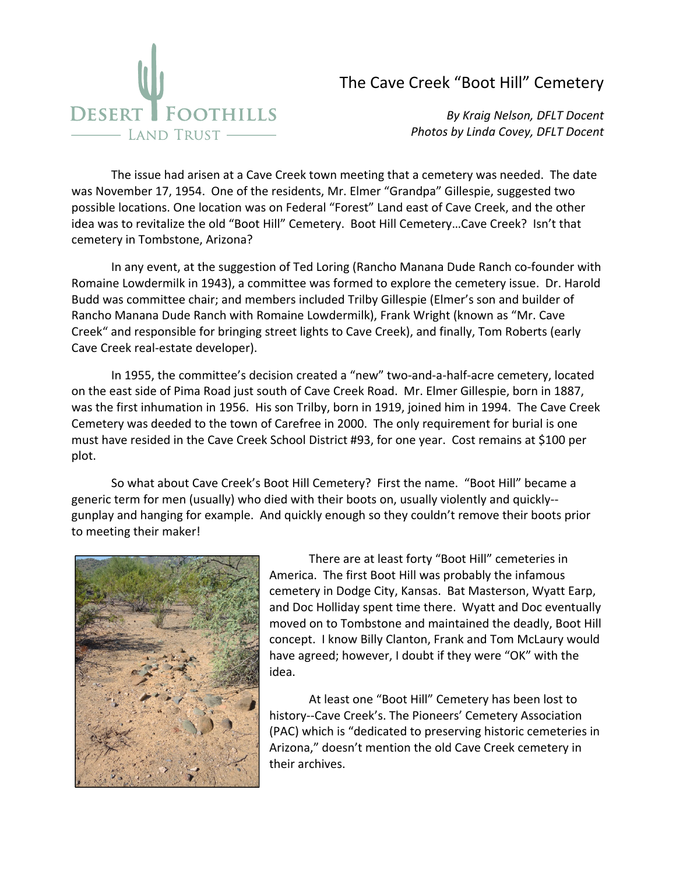

## The Cave Creek "Boot Hill" Cemetery

*By Kraig Nelson, DFLT Docent Photos by Linda Covey, DFLT Docent*

The issue had arisen at a Cave Creek town meeting that a cemetery was needed. The date was November 17, 1954. One of the residents, Mr. Elmer "Grandpa" Gillespie, suggested two possible locations. One location was on Federal "Forest" Land east of Cave Creek, and the other idea was to revitalize the old "Boot Hill" Cemetery. Boot Hill Cemetery…Cave Creek? Isn't that cemetery in Tombstone, Arizona?

In any event, at the suggestion of Ted Loring (Rancho Manana Dude Ranch co‐founder with Romaine Lowdermilk in 1943), a committee was formed to explore the cemetery issue. Dr. Harold Budd was committee chair; and members included Trilby Gillespie (Elmer's son and builder of Rancho Manana Dude Ranch with Romaine Lowdermilk), Frank Wright (known as "Mr. Cave Creek" and responsible for bringing street lights to Cave Creek), and finally, Tom Roberts (early Cave Creek real‐estate developer).

In 1955, the committee's decision created a "new" two-and-a-half-acre cemetery, located on the east side of Pima Road just south of Cave Creek Road. Mr. Elmer Gillespie, born in 1887, was the first inhumation in 1956. His son Trilby, born in 1919, joined him in 1994. The Cave Creek Cemetery was deeded to the town of Carefree in 2000. The only requirement for burial is one must have resided in the Cave Creek School District #93, for one year. Cost remains at \$100 per plot.

So what about Cave Creek's Boot Hill Cemetery? First the name. "Boot Hill" became a generic term for men (usually) who died with their boots on, usually violently and quickly‐‐ gunplay and hanging for example. And quickly enough so they couldn't remove their boots prior to meeting their maker!



There are at least forty "Boot Hill" cemeteries in America. The first Boot Hill was probably the infamous cemetery in Dodge City, Kansas. Bat Masterson, Wyatt Earp, and Doc Holliday spent time there. Wyatt and Doc eventually moved on to Tombstone and maintained the deadly, Boot Hill concept. I know Billy Clanton, Frank and Tom McLaury would have agreed; however, I doubt if they were "OK" with the idea.

At least one "Boot Hill" Cemetery has been lost to history‐‐Cave Creek's. The Pioneers' Cemetery Association (PAC) which is "dedicated to preserving historic cemeteries in Arizona," doesn't mention the old Cave Creek cemetery in their archives.